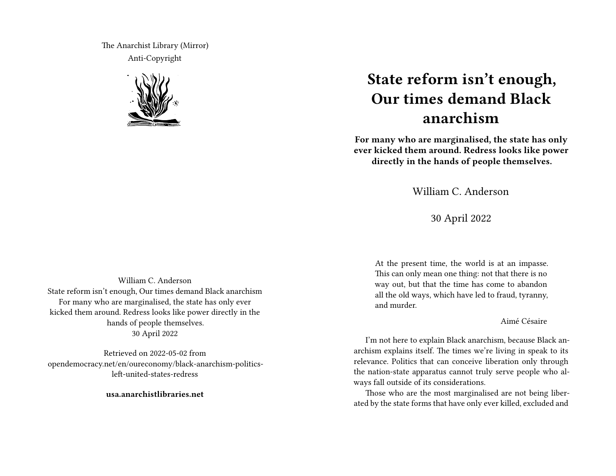The Anarchist Library (Mirror) Anti-Copyright



## **State reform isn't enough, Our times demand Black anarchism**

**For many who are marginalised, the state has only ever kicked them around. Redress looks like power directly in the hands of people themselves.**

William C. Anderson

30 April 2022

At the present time, the world is at an impasse. This can only mean one thing: not that there is no way out, but that the time has come to abandon all the old ways, which have led to fraud, tyranny, and murder.

Aimé Césaire

I'm not here to explain Black anarchism, because Black anarchism explains itself. The times we're living in speak to its relevance. Politics that can conceive liberation only through the nation-state apparatus cannot truly serve people who always fall outside of its considerations.

Those who are the most marginalised are not being liberated by the state forms that have only ever killed, excluded and

William C. Anderson State reform isn't enough, Our times demand Black anarchism For many who are marginalised, the state has only ever kicked them around. Redress looks like power directly in the hands of people themselves. 30 April 2022

Retrieved on 2022-05-02 from opendemocracy.net/en/oureconomy/black-anarchism-politicsleft-united-states-redress

**usa.anarchistlibraries.net**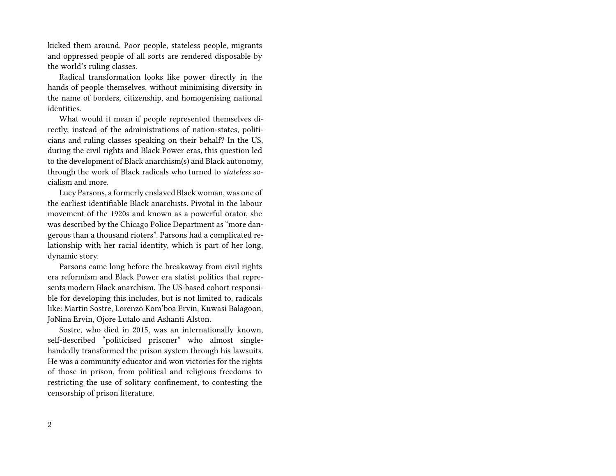kicked them around. Poor people, stateless people, migrants and oppressed people of all sorts are rendered disposable by the world's ruling classes.

Radical transformation looks like power directly in the hands of people themselves, without minimising diversity in the name of borders, citizenship, and homogenising national identities.

What would it mean if people represented themselves directly, instead of the administrations of nation-states, politicians and ruling classes speaking on their behalf? In the US, during the civil rights and Black Power eras, this question led to the development of Black anarchism(s) and Black autonomy, through the work of Black radicals who turned to *stateless* socialism and more.

Lucy Parsons, a formerly enslaved Black woman, was one of the earliest identifiable Black anarchists. Pivotal in the labour movement of the 1920s and known as a powerful orator, she was described by the Chicago Police Department as "more dangerous than a thousand rioters". Parsons had a complicated relationship with her racial identity, which is part of her long, dynamic story.

Parsons came long before the breakaway from civil rights era reformism and Black Power era statist politics that represents modern Black anarchism. The US-based cohort responsible for developing this includes, but is not limited to, radicals like: Martin Sostre, Lorenzo Kom'boa Ervin, Kuwasi Balagoon, JoNina Ervin, Ojore Lutalo and Ashanti Alston.

Sostre, who died in 2015, was an internationally known, self-described "politicised prisoner" who almost singlehandedly transformed the prison system through his lawsuits. He was a community educator and won victories for the rights of those in prison, from political and religious freedoms to restricting the use of solitary confinement, to contesting the censorship of prison literature.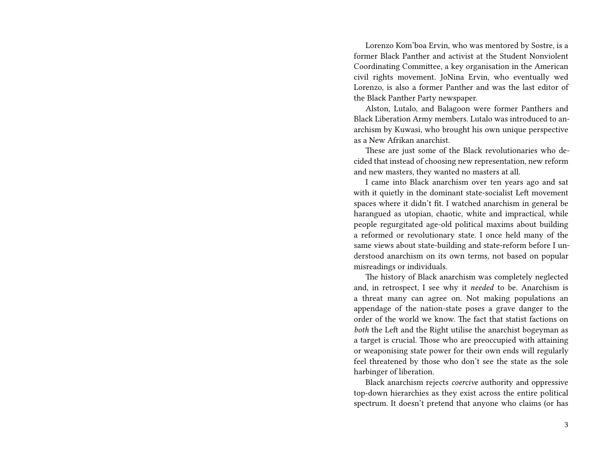Lorenzo Kom'boa Ervin, who was mentored by Sostre, is a former Black Panther and activist at the Student Nonviolent Coordinating Committee, a key organisation in the American civil rights movement. JoNina Ervin, who eventually wed Lorenzo, is also a former Panther and was the last editor of the Black Panther Party newspaper.

Alston, Lutalo, and Balagoon were former Panthers and Black Liberation Army members. Lutalo was introduced to anarchism by Kuwasi, who brought his own unique perspective as a New Afrikan anarchist.

These are just some of the Black revolutionaries who decided that instead of choosing new representation, new reform and new masters, they wanted no masters at all.

I came into Black anarchism over ten years ago and sat with it quietly in the dominant state-socialist Left movement spaces where it didn't fit. I watched anarchism in general be harangued as utopian, chaotic, white and impractical, while people regurgitated age-old political maxims about building a reformed or revolutionary state. I once held many of the same views about state-building and state-reform before I understood anarchism on its own terms, not based on popular misreadings or individuals.

The history of Black anarchism was completely neglected and, in retrospect, I see why it *needed* to be. Anarchism is a threat many can agree on. Not making populations an appendage of the nation-state poses a grave danger to the order of the world we know. The fact that statist factions on *both* the Left and the Right utilise the anarchist bogeyman as a target is crucial. Those who are preoccupied with attaining or weaponising state power for their own ends will regularly feel threatened by those who don't see the state as the sole harbinger of liberation.

Black anarchism rejects *coercive* authority and oppressive top-down hierarchies as they exist across the entire political spectrum. It doesn't pretend that anyone who claims (or has